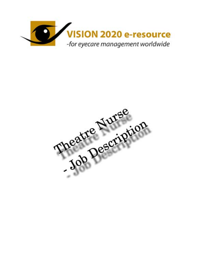

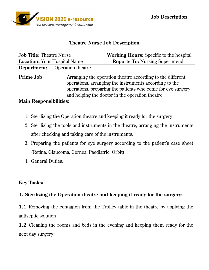

#### **Theatre Nurse Job Description**

| <b>Job Title: Theatre Nurse</b>     |                          | <b>Working Hours:</b> Specific to the hospital                                                                                                                                                                                          |  |
|-------------------------------------|--------------------------|-----------------------------------------------------------------------------------------------------------------------------------------------------------------------------------------------------------------------------------------|--|
| <b>Location: Your Hospital Name</b> |                          | <b>Reports To: Nursing Superintend</b>                                                                                                                                                                                                  |  |
| Department:                         | <b>Operation theatre</b> |                                                                                                                                                                                                                                         |  |
| <b>Prime Job</b>                    |                          | Arranging the operation theatre according to the different<br>operations, arranging the instruments according to the<br>operations, preparing the patients who come for eye surgery<br>and helping the doctor in the operation theatre. |  |

#### **Main Responsibilities:**

- 1. Sterilizing the Operation theatre and keeping it ready for the surgery.
- 2. Sterilizing the tools and instruments in the theatre, arranging the instruments after checking and taking care of the instruments.
- 3. Preparing the patients for eye surgery according to the patient's case sheet (Retina, Glaucoma, Cornea, Paediatric, Orbit)
- 4. General Duties.

### **Key Tasks:**

### **1. Sterilizing the Operation theatre and keeping it ready for the surgery:**

**1.1** Removing the contagion from the Trolley table in the theatre by applying the antiseptic solution

**1.2** Cleaning the rooms and beds in the evening and keeping them ready for the next day surgery.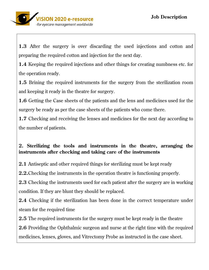**1.3** After the surgery is over discarding the used injections and cotton and preparing the required cotton and injection for the next day.

**1.4** Keeping the required injections and other things for creating numbness etc. for the operation ready.

**1.5** Brining the required instruments for the surgery from the sterilization room and keeping it ready in the theatre for surgery.

**1.6** Getting the Case sheets of the patients and the lens and medicines used for the surgery be ready as per the case sheets of the patients who come there.

**1.7** Checking and receiving the lenses and medicines for the next day according to the number of patients.

# **2. Sterilizing the tools and instruments in the theatre, arranging the instruments after checking and taking care of the instruments**

**2.1** Antiseptic and other required things for sterilizing must be kept ready

**2.2.**Checking the instruments in the operation theatre is functioning properly.

**2.3** Checking the instruments used for each patient after the surgery are in working condition. If they are blunt they should be replaced.

**2.4** Checking if the sterilization has been done in the correct temperature under steam for the required time

**2.5** The required instruments for the surgery must be kept ready in the theatre

**2.6** Providing the Ophthalmic surgeon and nurse at the right time with the required medicines, lenses, gloves, and Vitrectomy Probe as instructed in the case sheet.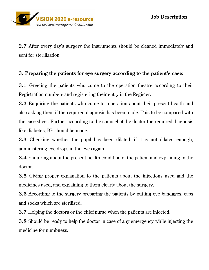

**2.7** After every day's surgery the instruments should be cleaned immediately and sent for sterilization.

# **3. Preparing the patients for eye surgery according to the patient's case:**

**3.1** Greeting the patients who come to the operation theatre according to their Registration numbers and registering their entry in the Register.

**3.2** Enquiring the patients who come for operation about their present health and also asking them if the required diagnosis has been made. This to be compared with the case sheet. Further according to the counsel of the doctor the required diagnosis like diabetes, BP should be made.

**3.3** Checking whether the pupil has been dilated, if it is not dilated enough, administering eye drops in the eyes again.

**3.4** Enquiring about the present health condition of the patient and explaining to the doctor.

**3.5** Giving proper explanation to the patients about the injections used and the medicines used, and explaining to them clearly about the surgery.

**3.6** According to the surgery preparing the patients by putting eye bandages, caps and socks which are sterilized.

**3.7** Helping the doctors or the chief nurse when the patients are injected.

**3.8** Should be ready to help the doctor in case of any emergency while injecting the medicine for numbness.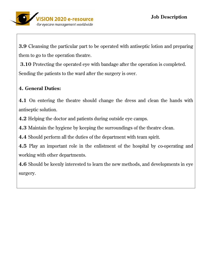**3.9** Cleansing the particular part to be operated with antiseptic lotion and preparing them to go to the operation theatre.

 **3.10** Protecting the operated eye with bandage after the operation is completed. Sending the patients to the ward after the surgery is over.

# **4. General Duties:**

**4.1** On entering the theatre should change the dress and clean the hands with antiseptic solution.

**4.2** Helping the doctor and patients during outside eye camps.

**4.3** Maintain the hygiene by keeping the surroundings of the theatre clean.

**4.4** Should perform all the duties of the department with team spirit.

**4.5** Play an important role in the enlistment of the hospital by co-operating and working with other departments.

**4.6** Should be keenly interested to learn the new methods, and developments in eye surgery.